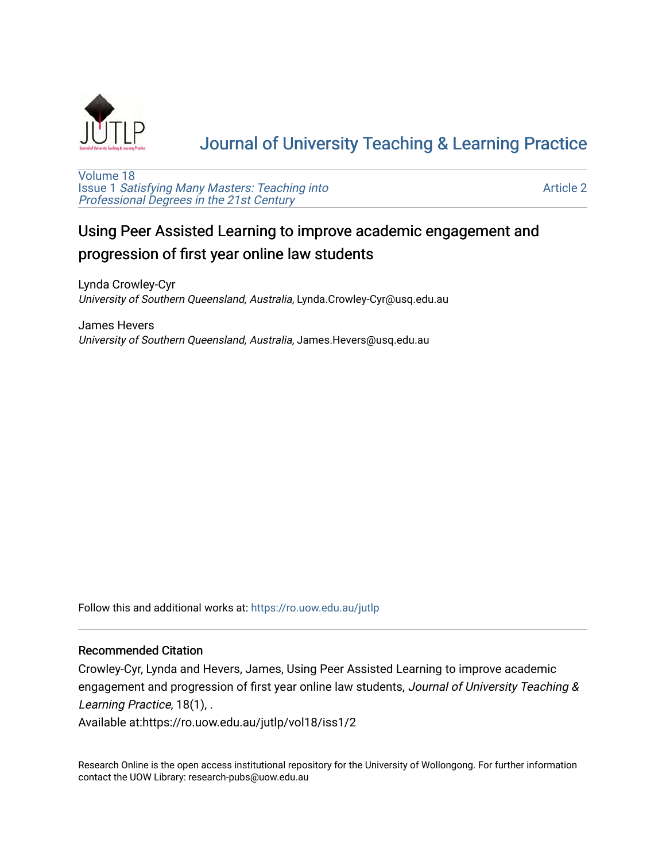

# [Journal of University Teaching & Learning Practice](https://ro.uow.edu.au/jutlp)

[Volume 18](https://ro.uow.edu.au/jutlp/vol18) Issue 1 [Satisfying Many Masters: Teaching into](https://ro.uow.edu.au/jutlp/vol18/iss1)  [Professional Degrees in the 21st Century](https://ro.uow.edu.au/jutlp/vol18/iss1) 

[Article 2](https://ro.uow.edu.au/jutlp/vol18/iss1/2) 

# Using Peer Assisted Learning to improve academic engagement and progression of first year online law students

Lynda Crowley-Cyr University of Southern Queensland, Australia, Lynda.Crowley-Cyr@usq.edu.au

James Hevers University of Southern Queensland, Australia, James.Hevers@usq.edu.au

Follow this and additional works at: [https://ro.uow.edu.au/jutlp](https://ro.uow.edu.au/jutlp?utm_source=ro.uow.edu.au%2Fjutlp%2Fvol18%2Fiss1%2F2&utm_medium=PDF&utm_campaign=PDFCoverPages) 

## Recommended Citation

Crowley-Cyr, Lynda and Hevers, James, Using Peer Assisted Learning to improve academic engagement and progression of first year online law students, Journal of University Teaching & Learning Practice, 18(1), .

Available at:https://ro.uow.edu.au/jutlp/vol18/iss1/2

Research Online is the open access institutional repository for the University of Wollongong. For further information contact the UOW Library: research-pubs@uow.edu.au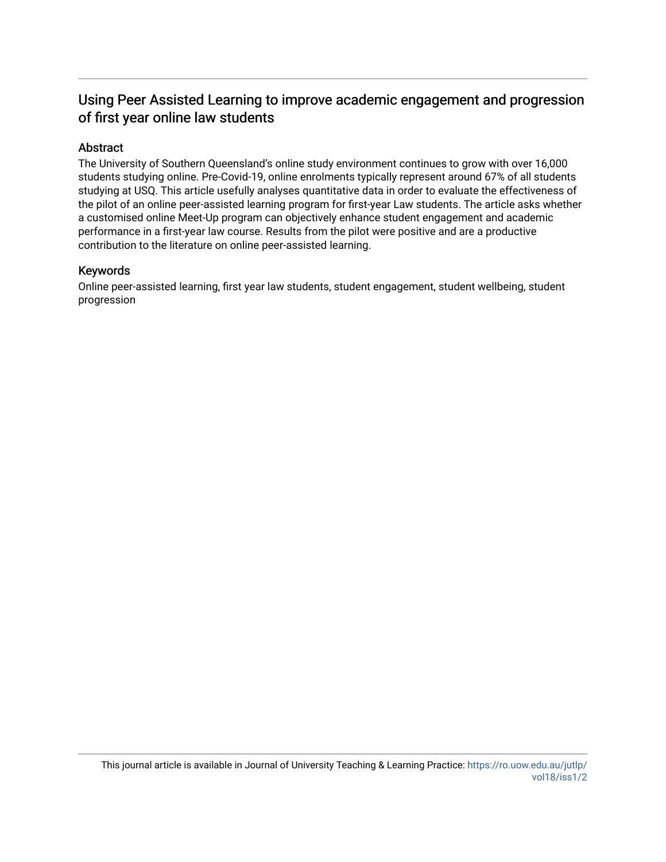## Using Peer Assisted Learning to improve academic engagement and progression of first year online law students

## Abstract

The University of Southern Queensland's online study environment continues to grow with over 16,000 students studying online. Pre-Covid-19, online enrolments typically represent around 67% of all students studying at USQ. This article usefully analyses quantitative data in order to evaluate the effectiveness of the pilot of an online peer-assisted learning program for first-year Law students. The article asks whether a customised online Meet-Up program can objectively enhance student engagement and academic performance in a first-year law course. Results from the pilot were positive and are a productive contribution to the literature on online peer-assisted learning.

## Keywords

Online peer-assisted learning, first year law students, student engagement, student wellbeing, student progression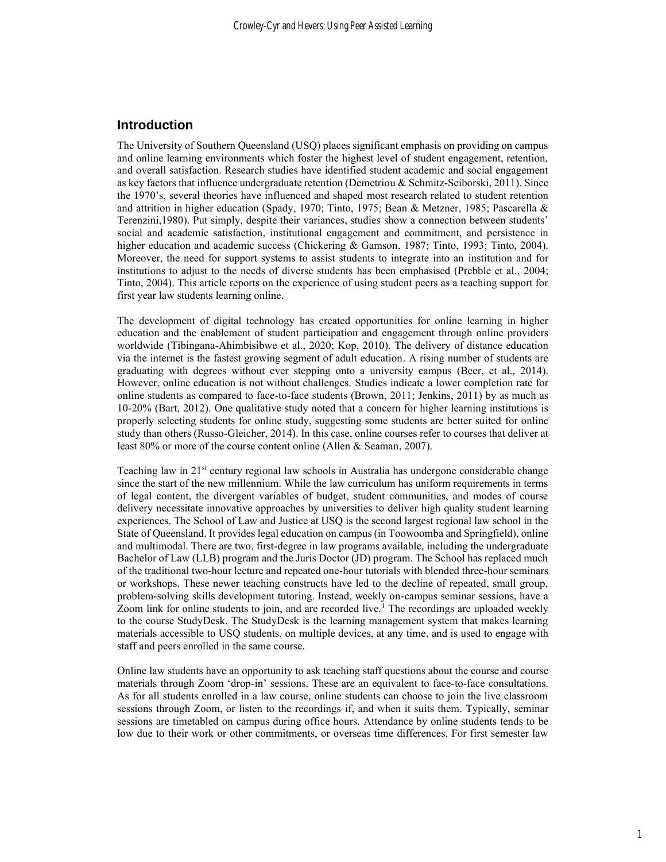## **Introduction**

The University of Southern Queensland (USQ) places significant emphasis on providing on campus and online learning environments which foster the highest level of student engagement, retention, and overall satisfaction. Research studies have identified student academic and social engagement as key factors that influence undergraduate retention (Demetriou & Schmitz-Sciborski, 2011). Since the 1970's, several theories have influenced and shaped most research related to student retention and attrition in higher education (Spady, 1970; Tinto, 1975; Bean & Metzner, 1985; Pascarella & Terenzini,1980). Put simply, despite their variances, studies show a connection between students' social and academic satisfaction, institutional engagement and commitment, and persistence in higher education and academic success (Chickering & Gamson, 1987; Tinto, 1993; Tinto, 2004). Moreover, the need for support systems to assist students to integrate into an institution and for institutions to adjust to the needs of diverse students has been emphasised (Prebble et al., 2004; Tinto, 2004). This article reports on the experience of using student peers as a teaching support for first year law students learning online.

The development of digital technology has created opportunities for online learning in higher education and the enablement of student participation and engagement through online providers worldwide (Tibingana-Ahimbisibwe et al., 2020; Kop, 2010). The delivery of distance education via the internet is the fastest growing segment of adult education. A rising number of students are graduating with degrees without ever stepping onto a university campus (Beer, et al., 2014). However, online education is not without challenges. Studies indicate a lower completion rate for online students as compared to face-to-face students (Brown, 2011; Jenkins, 2011) by as much as 10-20% (Bart, 2012). One qualitative study noted that a concern for higher learning institutions is properly selecting students for online study, suggesting some students are better suited for online study than others (Russo-Gleicher, 2014). In this case, online courses refer to courses that deliver at least 80% or more of the course content online (Allen & Seaman, 2007).

Teaching law in 21<sup>st</sup> century regional law schools in Australia has undergone considerable change since the start of the new millennium. While the law curriculum has uniform requirements in terms of legal content, the divergent variables of budget, student communities, and modes of course delivery necessitate innovative approaches by universities to deliver high quality student learning experiences. The School of Law and Justice at USQ is the second largest regional law school in the State of Queensland. It provides legal education on campus (in Toowoomba and Springfield), online and multimodal. There are two, first-degree in law programs available, including the undergraduate Bachelor of Law (LLB) program and the Juris Doctor (JD) program. The School has replaced much of the traditional two-hour lecture and repeated one-hour tutorials with blended three-hour seminars or workshops. These newer teaching constructs have led to the decline of repeated, small group, problem-solving skills development tutoring. Instead, weekly on-campus seminar sessions, have a Zoom link for online students to join, and are recorded live.<sup>1</sup> The recordings are uploaded weekly to the course StudyDesk. The StudyDesk is the learning management system that makes learning materials accessible to USQ students, on multiple devices, at any time, and is used to engage with staff and peers enrolled in the same course.

Online law students have an opportunity to ask teaching staff questions about the course and course materials through Zoom 'drop-in' sessions. These are an equivalent to face-to-face consultations. As for all students enrolled in a law course, online students can choose to join the live classroom sessions through Zoom, or listen to the recordings if, and when it suits them. Typically, seminar sessions are timetabled on campus during office hours. Attendance by online students tends to be low due to their work or other commitments, or overseas time differences. For first semester law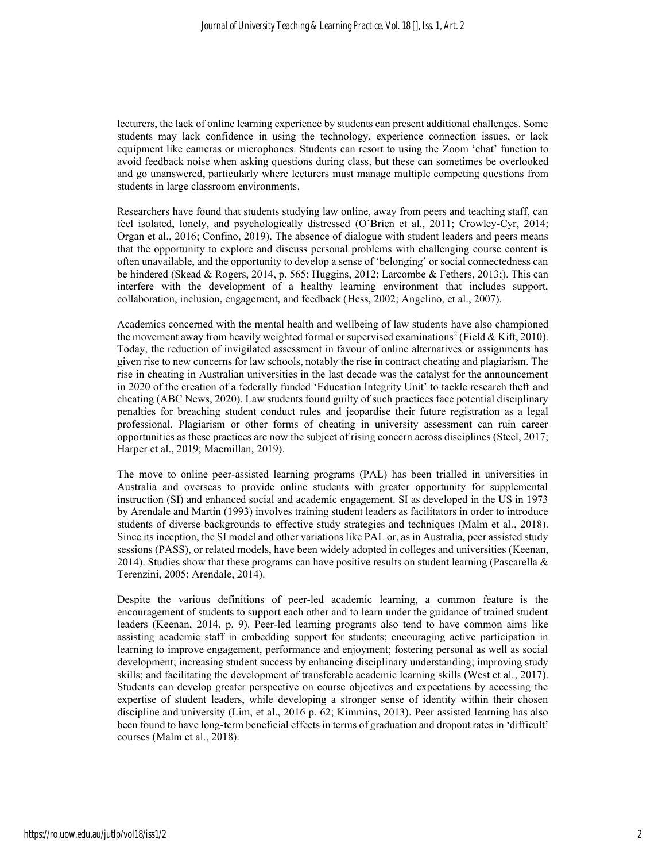lecturers, the lack of online learning experience by students can present additional challenges. Some students may lack confidence in using the technology, experience connection issues, or lack equipment like cameras or microphones. Students can resort to using the Zoom 'chat' function to avoid feedback noise when asking questions during class, but these can sometimes be overlooked and go unanswered, particularly where lecturers must manage multiple competing questions from students in large classroom environments.

Researchers have found that students studying law online, away from peers and teaching staff, can feel isolated, lonely, and psychologically distressed (O'Brien et al., 2011; Crowley-Cyr, 2014; Organ et al., 2016; Confino, 2019). The absence of dialogue with student leaders and peers means that the opportunity to explore and discuss personal problems with challenging course content is often unavailable, and the opportunity to develop a sense of 'belonging' or social connectedness can be hindered (Skead & Rogers, 2014, p. 565; Huggins, 2012; Larcombe & Fethers, 2013;). This can interfere with the development of a healthy learning environment that includes support, collaboration, inclusion, engagement, and feedback (Hess, 2002; Angelino, et al., 2007).

Academics concerned with the mental health and wellbeing of law students have also championed the movement away from heavily weighted formal or supervised examinations<sup>2</sup> (Field & Kift, 2010). Today, the reduction of invigilated assessment in favour of online alternatives or assignments has given rise to new concerns for law schools, notably the rise in contract cheating and plagiarism. The rise in cheating in Australian universities in the last decade was the catalyst for the announcement in 2020 of the creation of a federally funded 'Education Integrity Unit' to tackle research theft and cheating (ABC News, 2020). Law students found guilty of such practices face potential disciplinary penalties for breaching student conduct rules and jeopardise their future registration as a legal professional. Plagiarism or other forms of cheating in university assessment can ruin career opportunities as these practices are now the subject of rising concern across disciplines (Steel, 2017; Harper et al., 2019; Macmillan, 2019).

The move to online peer-assisted learning programs (PAL) has been trialled in universities in Australia and overseas to provide online students with greater opportunity for supplemental instruction (SI) and enhanced social and academic engagement. SI as developed in the US in 1973 by Arendale and Martin (1993) involves training student leaders as facilitators in order to introduce students of diverse backgrounds to effective study strategies and techniques (Malm et al., 2018). Since its inception, the SI model and other variations like PAL or, as in Australia, peer assisted study sessions (PASS), or related models, have been widely adopted in colleges and universities (Keenan, 2014). Studies show that these programs can have positive results on student learning (Pascarella  $\&$ Terenzini, 2005; Arendale, 2014).

Despite the various definitions of peer-led academic learning, a common feature is the encouragement of students to support each other and to learn under the guidance of trained student leaders (Keenan, 2014, p. 9). Peer-led learning programs also tend to have common aims like assisting academic staff in embedding support for students; encouraging active participation in learning to improve engagement, performance and enjoyment; fostering personal as well as social development; increasing student success by enhancing disciplinary understanding; improving study skills; and facilitating the development of transferable academic learning skills (West et al., 2017). Students can develop greater perspective on course objectives and expectations by accessing the expertise of student leaders, while developing a stronger sense of identity within their chosen discipline and university (Lim, et al., 2016 p. 62; Kimmins, 2013). Peer assisted learning has also been found to have long-term beneficial effects in terms of graduation and dropout rates in 'difficult' courses (Malm et al., 2018).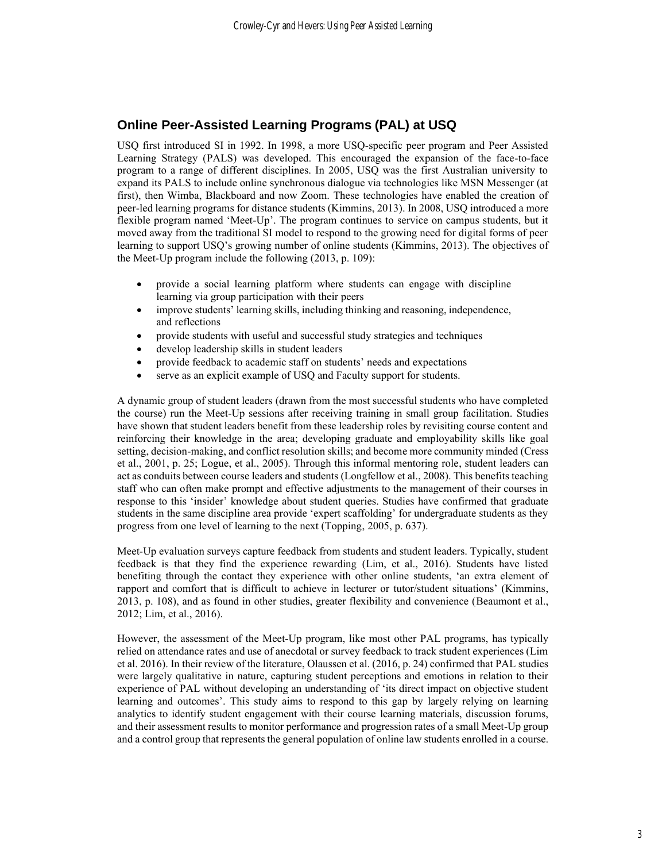## **Online Peer-Assisted Learning Programs (PAL) at USQ**

USQ first introduced SI in 1992. In 1998, a more USQ-specific peer program and Peer Assisted Learning Strategy (PALS) was developed. This encouraged the expansion of the face-to-face program to a range of different disciplines. In 2005, USQ was the first Australian university to expand its PALS to include online synchronous dialogue via technologies like MSN Messenger (at first), then Wimba, Blackboard and now Zoom. These technologies have enabled the creation of peer-led learning programs for distance students (Kimmins, 2013). In 2008, USQ introduced a more flexible program named 'Meet-Up'. The program continues to service on campus students, but it moved away from the traditional SI model to respond to the growing need for digital forms of peer learning to support USQ's growing number of online students (Kimmins, 2013). The objectives of the Meet-Up program include the following (2013, p. 109):

- provide a social learning platform where students can engage with discipline learning via group participation with their peers
- improve students' learning skills, including thinking and reasoning, independence, and reflections
- provide students with useful and successful study strategies and techniques
- develop leadership skills in student leaders
- provide feedback to academic staff on students' needs and expectations
- serve as an explicit example of USQ and Faculty support for students.

A dynamic group of student leaders (drawn from the most successful students who have completed the course) run the Meet-Up sessions after receiving training in small group facilitation. Studies have shown that student leaders benefit from these leadership roles by revisiting course content and reinforcing their knowledge in the area; developing graduate and employability skills like goal setting, decision-making, and conflict resolution skills; and become more community minded (Cress et al., 2001, p. 25; Logue, et al., 2005). Through this informal mentoring role, student leaders can act as conduits between course leaders and students (Longfellow et al., 2008). This benefits teaching staff who can often make prompt and effective adjustments to the management of their courses in response to this 'insider' knowledge about student queries. Studies have confirmed that graduate students in the same discipline area provide 'expert scaffolding' for undergraduate students as they progress from one level of learning to the next (Topping, 2005, p. 637).

Meet-Up evaluation surveys capture feedback from students and student leaders. Typically, student feedback is that they find the experience rewarding (Lim, et al., 2016). Students have listed benefiting through the contact they experience with other online students, 'an extra element of rapport and comfort that is difficult to achieve in lecturer or tutor/student situations' (Kimmins, 2013, p. 108), and as found in other studies, greater flexibility and convenience (Beaumont et al., 2012; Lim, et al., 2016).

However, the assessment of the Meet-Up program, like most other PAL programs, has typically relied on attendance rates and use of anecdotal or survey feedback to track student experiences (Lim et al. 2016). In their review of the literature, Olaussen et al. (2016, p. 24) confirmed that PAL studies were largely qualitative in nature, capturing student perceptions and emotions in relation to their experience of PAL without developing an understanding of 'its direct impact on objective student learning and outcomes'. This study aims to respond to this gap by largely relying on learning analytics to identify student engagement with their course learning materials, discussion forums, and their assessment results to monitor performance and progression rates of a small Meet-Up group and a control group that represents the general population of online law students enrolled in a course.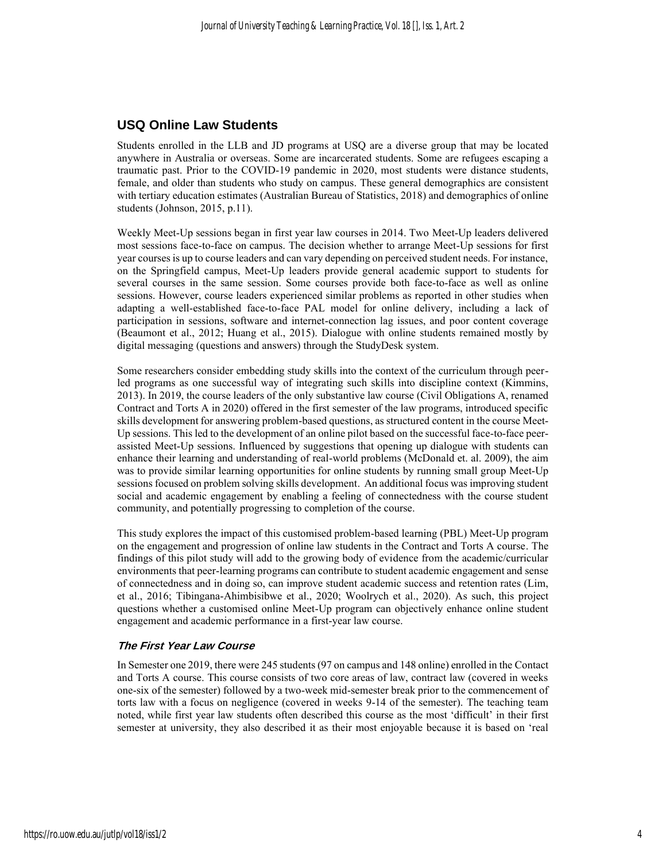## **USQ Online Law Students**

Students enrolled in the LLB and JD programs at USQ are a diverse group that may be located anywhere in Australia or overseas. Some are incarcerated students. Some are refugees escaping a traumatic past. Prior to the COVID-19 pandemic in 2020, most students were distance students, female, and older than students who study on campus. These general demographics are consistent with tertiary education estimates (Australian Bureau of Statistics, 2018) and demographics of online students (Johnson, 2015, p.11).

Weekly Meet-Up sessions began in first year law courses in 2014. Two Meet-Up leaders delivered most sessions face-to-face on campus. The decision whether to arrange Meet-Up sessions for first year courses is up to course leaders and can vary depending on perceived student needs. For instance, on the Springfield campus, Meet-Up leaders provide general academic support to students for several courses in the same session. Some courses provide both face-to-face as well as online sessions. However, course leaders experienced similar problems as reported in other studies when adapting a well-established face-to-face PAL model for online delivery, including a lack of participation in sessions, software and internet-connection lag issues, and poor content coverage (Beaumont et al., 2012; Huang et al., 2015). Dialogue with online students remained mostly by digital messaging (questions and answers) through the StudyDesk system.

Some researchers consider embedding study skills into the context of the curriculum through peerled programs as one successful way of integrating such skills into discipline context (Kimmins, 2013). In 2019, the course leaders of the only substantive law course (Civil Obligations A, renamed Contract and Torts A in 2020) offered in the first semester of the law programs, introduced specific skills development for answering problem-based questions, as structured content in the course Meet-Up sessions. This led to the development of an online pilot based on the successful face-to-face peerassisted Meet-Up sessions. Influenced by suggestions that opening up dialogue with students can enhance their learning and understanding of real-world problems (McDonald et. al. 2009), the aim was to provide similar learning opportunities for online students by running small group Meet-Up sessions focused on problem solving skills development. An additional focus was improving student social and academic engagement by enabling a feeling of connectedness with the course student community, and potentially progressing to completion of the course.

This study explores the impact of this customised problem-based learning (PBL) Meet-Up program on the engagement and progression of online law students in the Contract and Torts A course. The findings of this pilot study will add to the growing body of evidence from the academic/curricular environments that peer-learning programs can contribute to student academic engagement and sense of connectedness and in doing so, can improve student academic success and retention rates (Lim, et al., 2016; Tibingana-Ahimbisibwe et al., 2020; Woolrych et al., 2020). As such, this project questions whether a customised online Meet-Up program can objectively enhance online student engagement and academic performance in a first-year law course.

#### **The First Year Law Course**

In Semester one 2019, there were 245 students (97 on campus and 148 online) enrolled in the Contact and Torts A course. This course consists of two core areas of law, contract law (covered in weeks one-six of the semester) followed by a two-week mid-semester break prior to the commencement of torts law with a focus on negligence (covered in weeks 9-14 of the semester). The teaching team noted, while first year law students often described this course as the most 'difficult' in their first semester at university, they also described it as their most enjoyable because it is based on 'real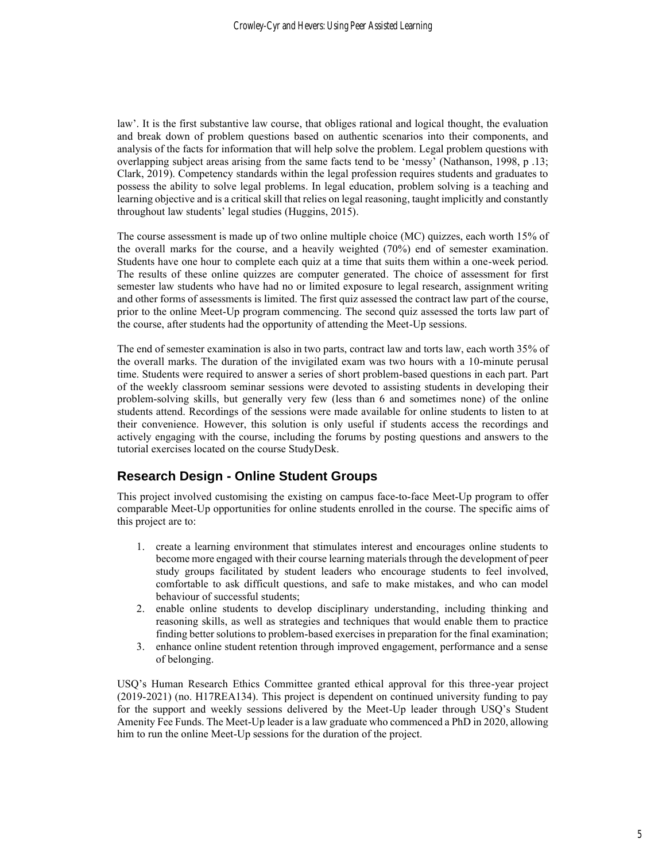law'. It is the first substantive law course, that obliges rational and logical thought, the evaluation and break down of problem questions based on authentic scenarios into their components, and analysis of the facts for information that will help solve the problem. Legal problem questions with overlapping subject areas arising from the same facts tend to be 'messy' (Nathanson, 1998, p .13; Clark, 2019). Competency standards within the legal profession requires students and graduates to possess the ability to solve legal problems. In legal education, problem solving is a teaching and learning objective and is a critical skill that relies on legal reasoning, taught implicitly and constantly throughout law students' legal studies (Huggins, 2015).

The course assessment is made up of two online multiple choice (MC) quizzes, each worth 15% of the overall marks for the course, and a heavily weighted (70%) end of semester examination. Students have one hour to complete each quiz at a time that suits them within a one-week period. The results of these online quizzes are computer generated. The choice of assessment for first semester law students who have had no or limited exposure to legal research, assignment writing and other forms of assessments is limited. The first quiz assessed the contract law part of the course, prior to the online Meet-Up program commencing. The second quiz assessed the torts law part of the course, after students had the opportunity of attending the Meet-Up sessions.

The end of semester examination is also in two parts, contract law and torts law, each worth 35% of the overall marks. The duration of the invigilated exam was two hours with a 10-minute perusal time. Students were required to answer a series of short problem-based questions in each part. Part of the weekly classroom seminar sessions were devoted to assisting students in developing their problem-solving skills, but generally very few (less than 6 and sometimes none) of the online students attend. Recordings of the sessions were made available for online students to listen to at their convenience. However, this solution is only useful if students access the recordings and actively engaging with the course, including the forums by posting questions and answers to the tutorial exercises located on the course StudyDesk.

## **Research Design - Online Student Groups**

This project involved customising the existing on campus face-to-face Meet-Up program to offer comparable Meet-Up opportunities for online students enrolled in the course. The specific aims of this project are to:

- 1. create a learning environment that stimulates interest and encourages online students to become more engaged with their course learning materials through the development of peer study groups facilitated by student leaders who encourage students to feel involved, comfortable to ask difficult questions, and safe to make mistakes, and who can model behaviour of successful students;
- 2. enable online students to develop disciplinary understanding, including thinking and reasoning skills, as well as strategies and techniques that would enable them to practice finding better solutions to problem-based exercises in preparation for the final examination;
- 3. enhance online student retention through improved engagement, performance and a sense of belonging.

USQ's Human Research Ethics Committee granted ethical approval for this three-year project (2019-2021) (no. H17REA134). This project is dependent on continued university funding to pay for the support and weekly sessions delivered by the Meet-Up leader through USQ's Student Amenity Fee Funds. The Meet-Up leader is a law graduate who commenced a PhD in 2020, allowing him to run the online Meet-Up sessions for the duration of the project.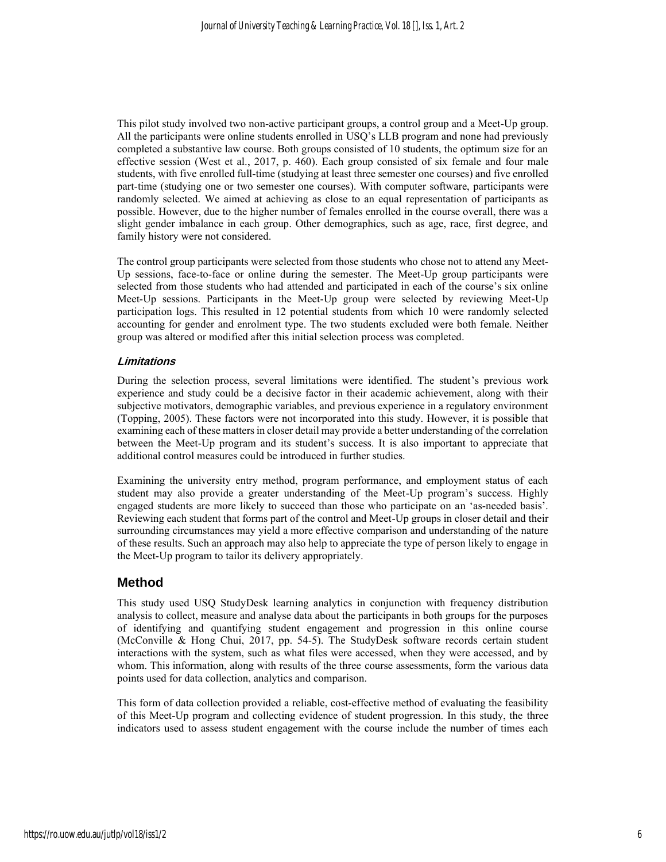This pilot study involved two non-active participant groups, a control group and a Meet-Up group. All the participants were online students enrolled in USQ's LLB program and none had previously completed a substantive law course. Both groups consisted of 10 students, the optimum size for an effective session (West et al., 2017, p. 460). Each group consisted of six female and four male students, with five enrolled full-time (studying at least three semester one courses) and five enrolled part-time (studying one or two semester one courses). With computer software, participants were randomly selected. We aimed at achieving as close to an equal representation of participants as possible. However, due to the higher number of females enrolled in the course overall, there was a slight gender imbalance in each group. Other demographics, such as age, race, first degree, and family history were not considered.

The control group participants were selected from those students who chose not to attend any Meet-Up sessions, face-to-face or online during the semester. The Meet-Up group participants were selected from those students who had attended and participated in each of the course's six online Meet-Up sessions. Participants in the Meet-Up group were selected by reviewing Meet-Up participation logs. This resulted in 12 potential students from which 10 were randomly selected accounting for gender and enrolment type. The two students excluded were both female. Neither group was altered or modified after this initial selection process was completed.

#### **Limitations**

During the selection process, several limitations were identified. The student's previous work experience and study could be a decisive factor in their academic achievement, along with their subjective motivators, demographic variables, and previous experience in a regulatory environment (Topping, 2005). These factors were not incorporated into this study. However, it is possible that examining each of these matters in closer detail may provide a better understanding of the correlation between the Meet-Up program and its student's success. It is also important to appreciate that additional control measures could be introduced in further studies.

Examining the university entry method, program performance, and employment status of each student may also provide a greater understanding of the Meet-Up program's success. Highly engaged students are more likely to succeed than those who participate on an 'as-needed basis'. Reviewing each student that forms part of the control and Meet-Up groups in closer detail and their surrounding circumstances may yield a more effective comparison and understanding of the nature of these results. Such an approach may also help to appreciate the type of person likely to engage in the Meet-Up program to tailor its delivery appropriately.

## **Method**

This study used USQ StudyDesk learning analytics in conjunction with frequency distribution analysis to collect, measure and analyse data about the participants in both groups for the purposes of identifying and quantifying student engagement and progression in this online course (McConville & Hong Chui, 2017, pp. 54-5). The StudyDesk software records certain student interactions with the system, such as what files were accessed, when they were accessed, and by whom. This information, along with results of the three course assessments, form the various data points used for data collection, analytics and comparison.

This form of data collection provided a reliable, cost-effective method of evaluating the feasibility of this Meet-Up program and collecting evidence of student progression. In this study, the three indicators used to assess student engagement with the course include the number of times each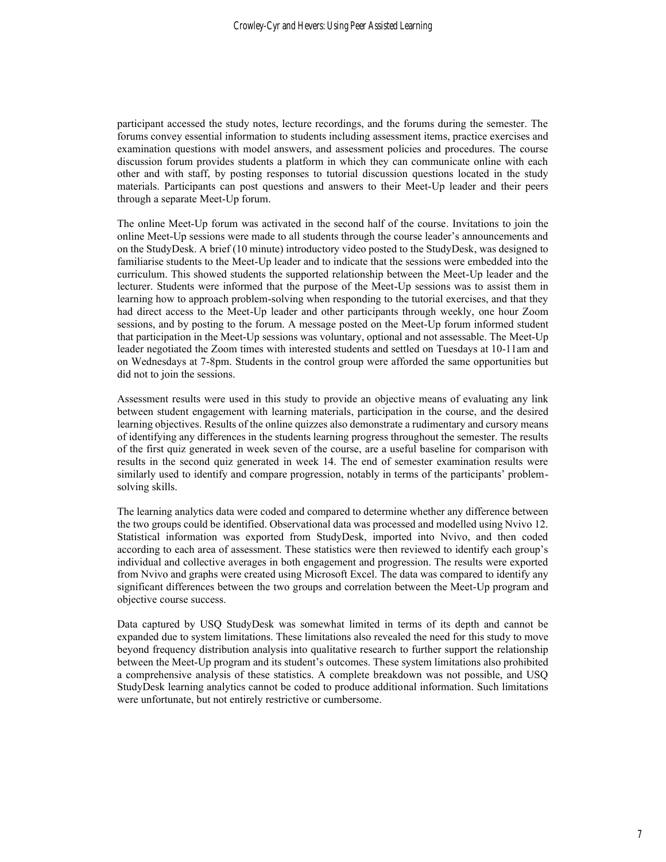participant accessed the study notes, lecture recordings, and the forums during the semester. The forums convey essential information to students including assessment items, practice exercises and examination questions with model answers, and assessment policies and procedures. The course discussion forum provides students a platform in which they can communicate online with each other and with staff, by posting responses to tutorial discussion questions located in the study materials. Participants can post questions and answers to their Meet-Up leader and their peers through a separate Meet-Up forum.

The online Meet-Up forum was activated in the second half of the course. Invitations to join the online Meet-Up sessions were made to all students through the course leader's announcements and on the StudyDesk. A brief (10 minute) introductory video posted to the StudyDesk, was designed to familiarise students to the Meet-Up leader and to indicate that the sessions were embedded into the curriculum. This showed students the supported relationship between the Meet-Up leader and the lecturer. Students were informed that the purpose of the Meet-Up sessions was to assist them in learning how to approach problem-solving when responding to the tutorial exercises, and that they had direct access to the Meet-Up leader and other participants through weekly, one hour Zoom sessions, and by posting to the forum. A message posted on the Meet-Up forum informed student that participation in the Meet-Up sessions was voluntary, optional and not assessable. The Meet-Up leader negotiated the Zoom times with interested students and settled on Tuesdays at 10-11am and on Wednesdays at 7-8pm. Students in the control group were afforded the same opportunities but did not to join the sessions.

Assessment results were used in this study to provide an objective means of evaluating any link between student engagement with learning materials, participation in the course, and the desired learning objectives. Results of the online quizzes also demonstrate a rudimentary and cursory means of identifying any differences in the students learning progress throughout the semester. The results of the first quiz generated in week seven of the course, are a useful baseline for comparison with results in the second quiz generated in week 14. The end of semester examination results were similarly used to identify and compare progression, notably in terms of the participants' problemsolving skills.

The learning analytics data were coded and compared to determine whether any difference between the two groups could be identified. Observational data was processed and modelled using Nvivo 12. Statistical information was exported from StudyDesk, imported into Nvivo, and then coded according to each area of assessment. These statistics were then reviewed to identify each group's individual and collective averages in both engagement and progression. The results were exported from Nvivo and graphs were created using Microsoft Excel. The data was compared to identify any significant differences between the two groups and correlation between the Meet-Up program and objective course success.

Data captured by USQ StudyDesk was somewhat limited in terms of its depth and cannot be expanded due to system limitations. These limitations also revealed the need for this study to move beyond frequency distribution analysis into qualitative research to further support the relationship between the Meet-Up program and its student's outcomes. These system limitations also prohibited a comprehensive analysis of these statistics. A complete breakdown was not possible, and USQ StudyDesk learning analytics cannot be coded to produce additional information. Such limitations were unfortunate, but not entirely restrictive or cumbersome.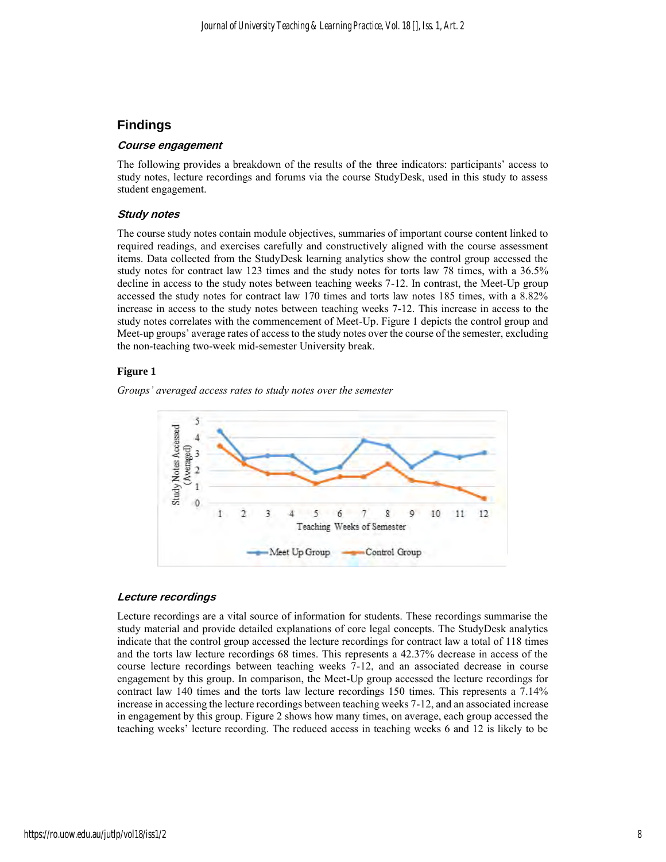## **Findings**

#### **Course engagement**

The following provides a breakdown of the results of the three indicators: participants' access to study notes, lecture recordings and forums via the course StudyDesk, used in this study to assess student engagement.

#### **Study notes**

The course study notes contain module objectives, summaries of important course content linked to required readings, and exercises carefully and constructively aligned with the course assessment items. Data collected from the StudyDesk learning analytics show the control group accessed the study notes for contract law 123 times and the study notes for torts law 78 times, with a 36.5% decline in access to the study notes between teaching weeks 7-12. In contrast, the Meet-Up group accessed the study notes for contract law 170 times and torts law notes 185 times, with a 8.82% increase in access to the study notes between teaching weeks 7-12. This increase in access to the study notes correlates with the commencement of Meet-Up. Figure 1 depicts the control group and Meet-up groups' average rates of access to the study notes over the course of the semester, excluding the non-teaching two-week mid-semester University break.

#### **Figure 1**

*Groups' averaged access rates to study notes over the semester*



#### **Lecture recordings**

Lecture recordings are a vital source of information for students. These recordings summarise the study material and provide detailed explanations of core legal concepts. The StudyDesk analytics indicate that the control group accessed the lecture recordings for contract law a total of 118 times and the torts law lecture recordings 68 times. This represents a 42.37% decrease in access of the course lecture recordings between teaching weeks 7-12, and an associated decrease in course engagement by this group. In comparison, the Meet-Up group accessed the lecture recordings for contract law 140 times and the torts law lecture recordings 150 times. This represents a 7.14% increase in accessing the lecture recordings between teaching weeks 7-12, and an associated increase in engagement by this group. Figure 2 shows how many times, on average, each group accessed the teaching weeks' lecture recording. The reduced access in teaching weeks 6 and 12 is likely to be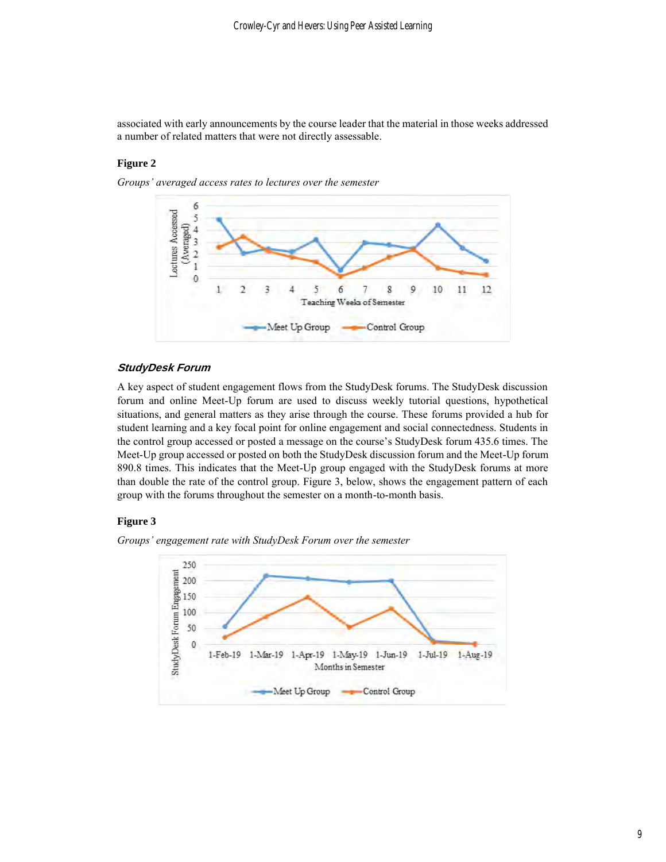associated with early announcements by the course leader that the material in those weeks addressed a number of related matters that were not directly assessable.

#### **Figure 2**

*Groups' averaged access rates to lectures over the semester*



#### **StudyDesk Forum**

A key aspect of student engagement flows from the StudyDesk forums. The StudyDesk discussion forum and online Meet-Up forum are used to discuss weekly tutorial questions, hypothetical situations, and general matters as they arise through the course. These forums provided a hub for student learning and a key focal point for online engagement and social connectedness. Students in the control group accessed or posted a message on the course's StudyDesk forum 435.6 times. The Meet-Up group accessed or posted on both the StudyDesk discussion forum and the Meet-Up forum 890.8 times. This indicates that the Meet-Up group engaged with the StudyDesk forums at more than double the rate of the control group. Figure 3, below, shows the engagement pattern of each group with the forums throughout the semester on a month-to-month basis.

#### **Figure 3**

*Groups' engagement rate with StudyDesk Forum over the semester*

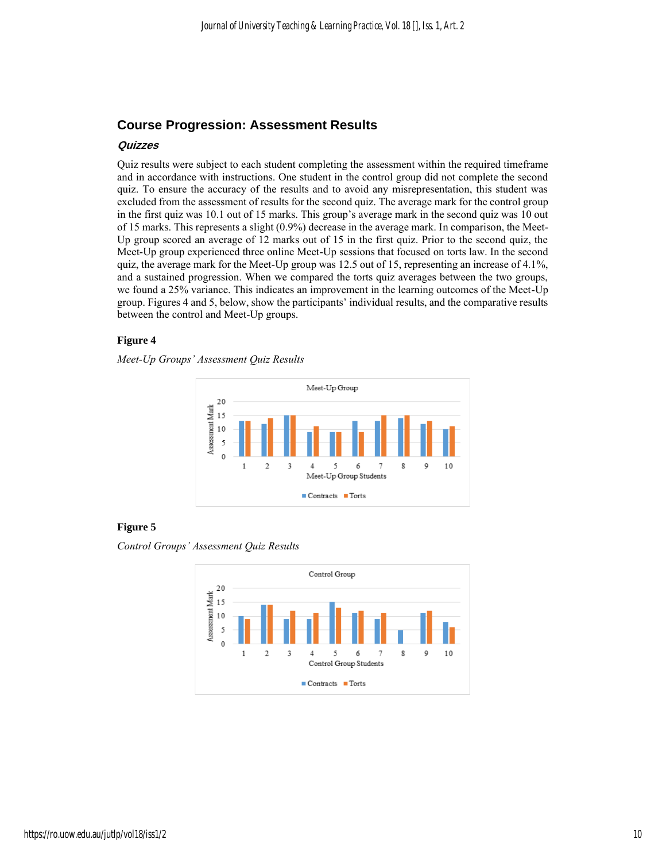## **Course Progression: Assessment Results**

#### **Quizzes**

Quiz results were subject to each student completing the assessment within the required timeframe and in accordance with instructions. One student in the control group did not complete the second quiz. To ensure the accuracy of the results and to avoid any misrepresentation, this student was excluded from the assessment of results for the second quiz. The average mark for the control group in the first quiz was 10.1 out of 15 marks. This group's average mark in the second quiz was 10 out of 15 marks. This represents a slight (0.9%) decrease in the average mark. In comparison, the Meet-Up group scored an average of 12 marks out of 15 in the first quiz. Prior to the second quiz, the Meet-Up group experienced three online Meet-Up sessions that focused on torts law. In the second quiz, the average mark for the Meet-Up group was 12.5 out of 15, representing an increase of 4.1%, and a sustained progression. When we compared the torts quiz averages between the two groups, we found a 25% variance. This indicates an improvement in the learning outcomes of the Meet-Up group. Figures 4 and 5, below, show the participants' individual results, and the comparative results between the control and Meet-Up groups.

#### **Figure 4**

*Meet-Up Groups' Assessment Quiz Results* 



#### **Figure 5**

*Control Groups' Assessment Quiz Results*

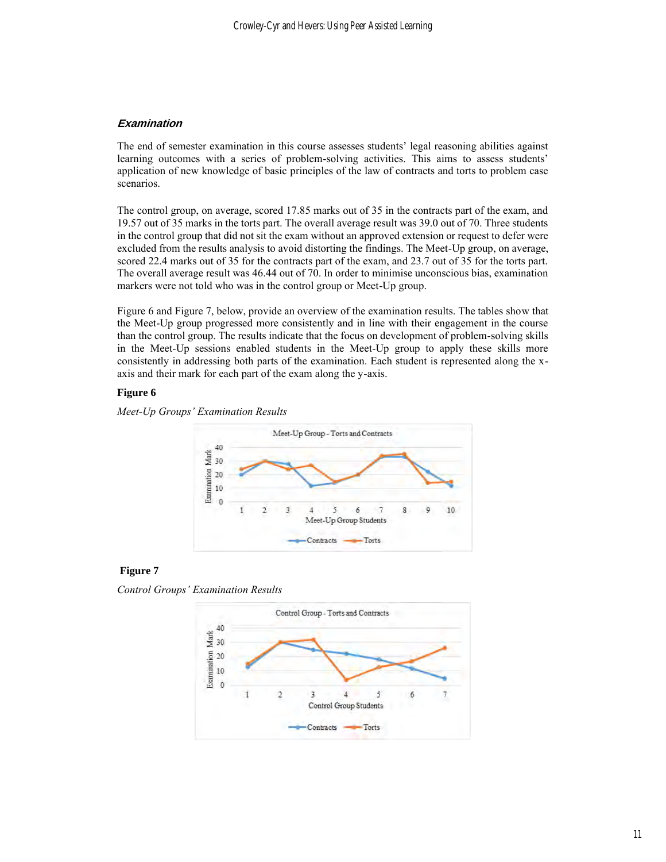## **Examination**

The end of semester examination in this course assesses students' legal reasoning abilities against learning outcomes with a series of problem-solving activities. This aims to assess students' application of new knowledge of basic principles of the law of contracts and torts to problem case scenarios.

The control group, on average, scored 17.85 marks out of 35 in the contracts part of the exam, and 19.57 out of 35 marks in the torts part. The overall average result was 39.0 out of 70. Three students in the control group that did not sit the exam without an approved extension or request to defer were excluded from the results analysis to avoid distorting the findings. The Meet-Up group, on average, scored 22.4 marks out of 35 for the contracts part of the exam, and 23.7 out of 35 for the torts part. The overall average result was 46.44 out of 70. In order to minimise unconscious bias, examination markers were not told who was in the control group or Meet-Up group.

Figure 6 and Figure 7, below, provide an overview of the examination results. The tables show that the Meet-Up group progressed more consistently and in line with their engagement in the course than the control group. The results indicate that the focus on development of problem-solving skills in the Meet-Up sessions enabled students in the Meet-Up group to apply these skills more consistently in addressing both parts of the examination. Each student is represented along the xaxis and their mark for each part of the exam along the y-axis.

#### **Figure 6**





#### **Figure 7**

*Control Groups' Examination Results*

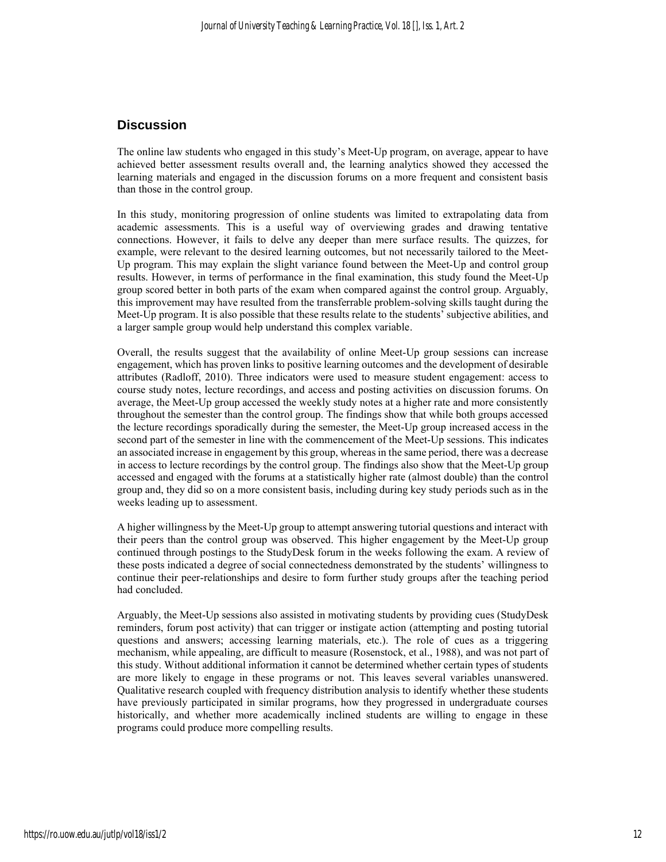## **Discussion**

The online law students who engaged in this study's Meet-Up program, on average, appear to have achieved better assessment results overall and, the learning analytics showed they accessed the learning materials and engaged in the discussion forums on a more frequent and consistent basis than those in the control group.

In this study, monitoring progression of online students was limited to extrapolating data from academic assessments. This is a useful way of overviewing grades and drawing tentative connections. However, it fails to delve any deeper than mere surface results. The quizzes, for example, were relevant to the desired learning outcomes, but not necessarily tailored to the Meet-Up program. This may explain the slight variance found between the Meet-Up and control group results. However, in terms of performance in the final examination, this study found the Meet-Up group scored better in both parts of the exam when compared against the control group. Arguably, this improvement may have resulted from the transferrable problem-solving skills taught during the Meet-Up program. It is also possible that these results relate to the students' subjective abilities, and a larger sample group would help understand this complex variable.

Overall, the results suggest that the availability of online Meet-Up group sessions can increase engagement, which has proven links to positive learning outcomes and the development of desirable attributes (Radloff, 2010). Three indicators were used to measure student engagement: access to course study notes, lecture recordings, and access and posting activities on discussion forums. On average, the Meet-Up group accessed the weekly study notes at a higher rate and more consistently throughout the semester than the control group. The findings show that while both groups accessed the lecture recordings sporadically during the semester, the Meet-Up group increased access in the second part of the semester in line with the commencement of the Meet-Up sessions. This indicates an associated increase in engagement by this group, whereas in the same period, there was a decrease in access to lecture recordings by the control group. The findings also show that the Meet-Up group accessed and engaged with the forums at a statistically higher rate (almost double) than the control group and, they did so on a more consistent basis, including during key study periods such as in the weeks leading up to assessment.

A higher willingness by the Meet-Up group to attempt answering tutorial questions and interact with their peers than the control group was observed. This higher engagement by the Meet-Up group continued through postings to the StudyDesk forum in the weeks following the exam. A review of these posts indicated a degree of social connectedness demonstrated by the students' willingness to continue their peer-relationships and desire to form further study groups after the teaching period had concluded.

Arguably, the Meet-Up sessions also assisted in motivating students by providing cues (StudyDesk reminders, forum post activity) that can trigger or instigate action (attempting and posting tutorial questions and answers; accessing learning materials, etc.). The role of cues as a triggering mechanism, while appealing, are difficult to measure (Rosenstock, et al., 1988), and was not part of this study. Without additional information it cannot be determined whether certain types of students are more likely to engage in these programs or not. This leaves several variables unanswered. Qualitative research coupled with frequency distribution analysis to identify whether these students have previously participated in similar programs, how they progressed in undergraduate courses historically, and whether more academically inclined students are willing to engage in these programs could produce more compelling results.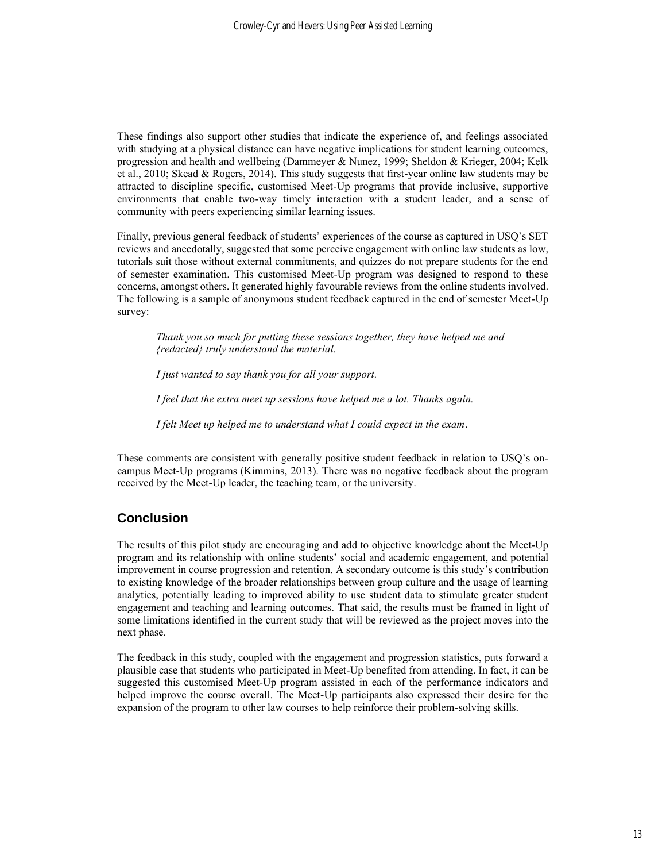These findings also support other studies that indicate the experience of, and feelings associated with studying at a physical distance can have negative implications for student learning outcomes, progression and health and wellbeing (Dammeyer & Nunez, 1999; Sheldon & Krieger, 2004; Kelk et al., 2010; Skead & Rogers, 2014). This study suggests that first-year online law students may be attracted to discipline specific, customised Meet-Up programs that provide inclusive, supportive environments that enable two-way timely interaction with a student leader, and a sense of community with peers experiencing similar learning issues.

Finally, previous general feedback of students' experiences of the course as captured in USQ's SET reviews and anecdotally, suggested that some perceive engagement with online law students as low, tutorials suit those without external commitments, and quizzes do not prepare students for the end of semester examination. This customised Meet-Up program was designed to respond to these concerns, amongst others. It generated highly favourable reviews from the online students involved. The following is a sample of anonymous student feedback captured in the end of semester Meet-Up survey:

*Thank you so much for putting these sessions together, they have helped me and {redacted} truly understand the material.*

*I just wanted to say thank you for all your support.*

*I feel that the extra meet up sessions have helped me a lot. Thanks again.* 

*I felt Meet up helped me to understand what I could expect in the exam*.

These comments are consistent with generally positive student feedback in relation to USQ's oncampus Meet-Up programs (Kimmins, 2013). There was no negative feedback about the program received by the Meet-Up leader, the teaching team, or the university.

## **Conclusion**

The results of this pilot study are encouraging and add to objective knowledge about the Meet-Up program and its relationship with online students' social and academic engagement, and potential improvement in course progression and retention. A secondary outcome is this study's contribution to existing knowledge of the broader relationships between group culture and the usage of learning analytics, potentially leading to improved ability to use student data to stimulate greater student engagement and teaching and learning outcomes. That said, the results must be framed in light of some limitations identified in the current study that will be reviewed as the project moves into the next phase.

The feedback in this study, coupled with the engagement and progression statistics, puts forward a plausible case that students who participated in Meet-Up benefited from attending. In fact, it can be suggested this customised Meet-Up program assisted in each of the performance indicators and helped improve the course overall. The Meet-Up participants also expressed their desire for the expansion of the program to other law courses to help reinforce their problem-solving skills.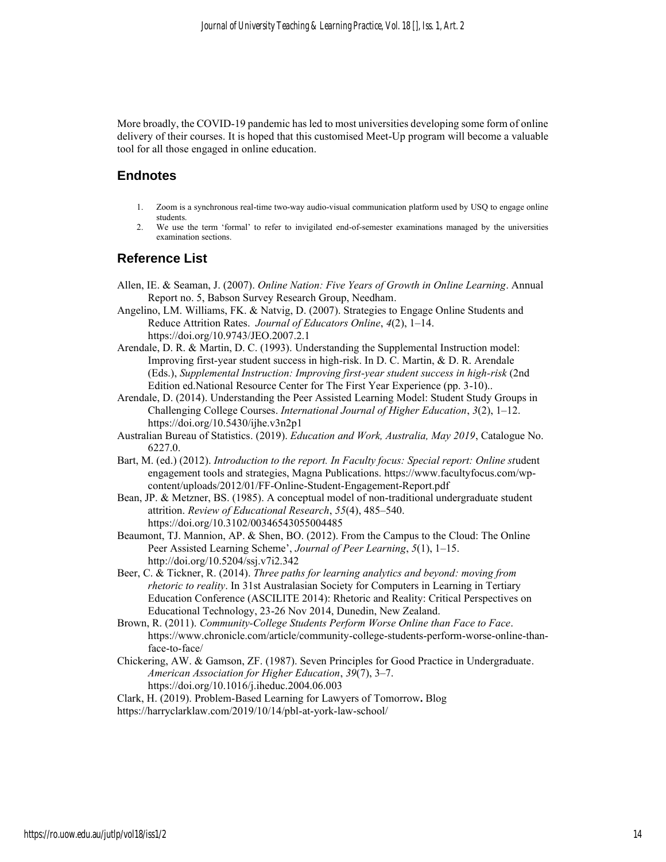More broadly, the COVID-19 pandemic has led to most universities developing some form of online delivery of their courses. It is hoped that this customised Meet-Up program will become a valuable tool for all those engaged in online education.

## **Endnotes**

- 1. Zoom is a synchronous real-time two-way audio-visual communication platform used by USQ to engage online students.
- 2. We use the term 'formal' to refer to invigilated end-of-semester examinations managed by the universities examination sections.

## **Reference List**

- Allen, IE. & Seaman, J. (2007). *Online Nation: Five Years of Growth in Online Learning*. Annual Report no. 5, Babson Survey Research Group, Needham.
- Angelino, LM. Williams, FK. & Natvig, D. (2007). Strategies to Engage Online Students and Reduce Attrition Rates. *Journal of Educators Online*, *4*(2), 1–14. https://doi.org/10.9743/JEO.2007.2.1
- Arendale, D. R. & Martin, D. C. (1993). Understanding the Supplemental Instruction model: Improving first-year student success in high-risk. In D. C. Martin, & D. R. Arendale (Eds.), *Supplemental Instruction: Improving first-year student success in high-risk* (2nd Edition ed.National Resource Center for The First Year Experience (pp. 3-10)..
- Arendale, D. (2014). Understanding the Peer Assisted Learning Model: Student Study Groups in Challenging College Courses. *International Journal of Higher Education*, *3*(2), 1–12. https://doi.org/10.5430/ijhe.v3n2p1
- Australian Bureau of Statistics. (2019). *Education and Work, Australia, May 2019*, Catalogue No. 6227.0.
- Bart, M. (ed.) (2012). *Introduction to the report. In Faculty focus: Special report: Online student* engagement tools and strategies, Magna Publications. [https://www.facultyfocus.com/wp](https://www.facultyfocus.com/wp-content/uploads/2012/01/FF-Online-Student-Engagement-Report.pdf)[content/uploads/2012/01/FF-Online-Student-Engagement-Report.pdf](https://www.facultyfocus.com/wp-content/uploads/2012/01/FF-Online-Student-Engagement-Report.pdf)
- Bean, JP. & Metzner, BS. (1985). A conceptual model of non-traditional undergraduate student attrition. *Review of Educational Research*, *55*(4), 485–540. https://doi.org/10.3102/00346543055004485
- Beaumont, TJ. Mannion, AP. & Shen, BO. (2012). From the Campus to the Cloud: The Online Peer Assisted Learning Scheme', *Journal of Peer Learning*, *5*(1), 1–15. http://doi.org/10.5204/ssj.v7i2.342
- Beer, C. & Tickner, R. (2014). *Three paths for learning analytics and beyond: moving from rhetoric to reality*. In 31st Australasian Society for Computers in Learning in Tertiary Education Conference (ASCILITE 2014): Rhetoric and Reality: Critical Perspectives on Educational Technology, 23-26 Nov 2014, Dunedin, New Zealand.
- Brown, R. (2011). *Community-College Students Perform Worse Online than Face to Face*. https://www.chronicle.com/article/community-college-students-perform-worse-online-thanface-to-face/
- Chickering, AW. & Gamson, ZF. (1987). Seven Principles for Good Practice in Undergraduate. *American Association for Higher Education*, *39*(7), 3–7. <https://doi.org/10.1016/j.iheduc.2004.06.003>
- Clark, H. (2019). Problem-Based Learning for Lawyers of Tomorrow**.** Blog <https://harryclarklaw.com/2019/10/14/pbl-at-york-law-school/>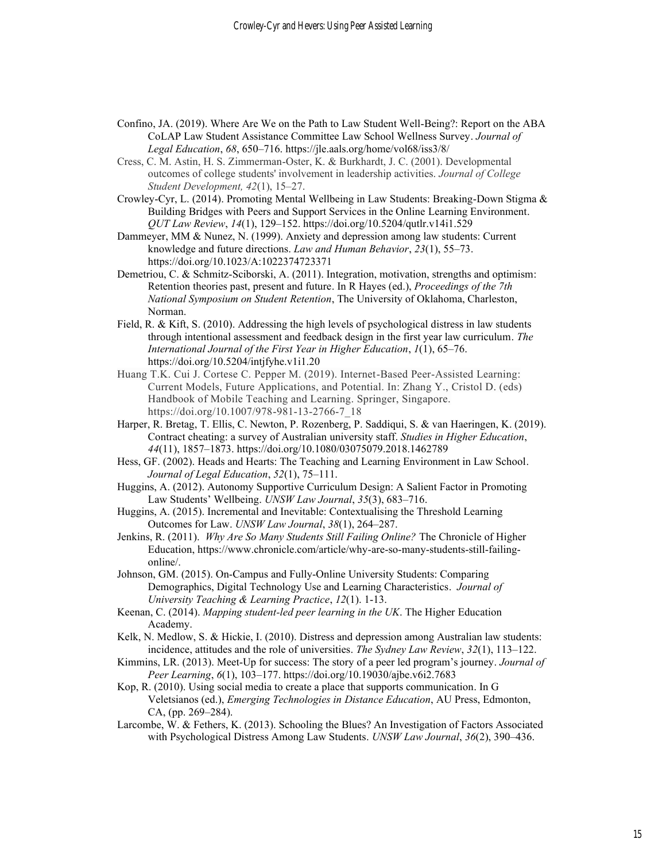- Confino, JA. (2019). Where Are We on the Path to Law Student Well-Being?: Report on the ABA CoLAP Law Student Assistance Committee Law School Wellness Survey. *Journal of Legal Education*, *68*, 650–716. https://jle.aals.org/home/vol68/iss3/8/
- Cress, C. M. Astin, H. S. Zimmerman-Oster, K. & Burkhardt, J. C. (2001). Developmental outcomes of college students' involvement in leadership activities. *Journal of College Student Development, 42*(1), 15–27.
- Crowley-Cyr, L. (2014). Promoting Mental Wellbeing in Law Students: Breaking-Down Stigma & Building Bridges with Peers and Support Services in the Online Learning Environment. *QUT Law Review*, *14*(1), 129–152. https://doi.org/10.5204/qutlr.v14i1.529
- Dammeyer, MM & Nunez, N. (1999). Anxiety and depression among law students: Current knowledge and future directions. *Law and Human Behavior*, *23*(1), 55–73. https://doi.org/10.1023/A:1022374723371
- Demetriou, C. & Schmitz-Sciborski, A. (2011). Integration, motivation, strengths and optimism: Retention theories past, present and future. In R Hayes (ed.), *Proceedings of the 7th National Symposium on Student Retention*, The University of Oklahoma, Charleston, Norman.
- Field, R. & Kift, S. (2010). Addressing the high levels of psychological distress in law students through intentional assessment and feedback design in the first year law curriculum. *The International Journal of the First Year in Higher Education*, *1*(1), 65–76. <https://doi.org/10.5204/intjfyhe.v1i1.20>
- Huang T.K. Cui J. Cortese C. Pepper M. (2019). Internet-Based Peer-Assisted Learning: Current Models, Future Applications, and Potential. In: Zhang Y., Cristol D. (eds) Handbook of Mobile Teaching and Learning. Springer, Singapore. https://doi.org/10.1007/978-981-13-2766-7\_18
- Harper, R. Bretag, T. Ellis, C. Newton, P. Rozenberg, P. Saddiqui, S. & van Haeringen, K. (2019). Contract cheating: a survey of Australian university staff. *Studies in Higher Education*, *44*(11), 1857–1873. https://doi.org/10.1080/03075079.2018.1462789
- Hess, GF. (2002). Heads and Hearts: The Teaching and Learning Environment in Law School. *Journal of Legal Education*, *52*(1), 75–111.
- Huggins, A. (2012). Autonomy Supportive Curriculum Design: A Salient Factor in Promoting Law Students' Wellbeing. *UNSW Law Journal*, *35*(3), 683–716.
- Huggins, A. (2015). Incremental and Inevitable: Contextualising the Threshold Learning Outcomes for Law. *UNSW Law Journal*, *38*(1), 264–287.
- Jenkins, R. (2011). *Why Are So Many Students Still Failing Online?* The Chronicle of Higher Education, https://www.chronicle.com/article/why-are-so-many-students-still-failingonline/.
- Johnson, GM. (2015). On-Campus and Fully-Online University Students: Comparing Demographics, Digital Technology Use and Learning Characteristics. *Journal of University Teaching & Learning Practice*, *12*(1). 1-13.
- Keenan, C. (2014). *Mapping student-led peer learning in the UK*. The Higher Education Academy.
- Kelk, N. Medlow, S. & Hickie, I. (2010). Distress and depression among Australian law students: incidence, attitudes and the role of universities. *The Sydney Law Review*, *32*(1), 113–122.
- Kimmins, LR. (2013). Meet-Up for success: The story of a peer led program's journey. *Journal of Peer Learning*, *6*(1), 103–177. https://doi.org/10.19030/ajbe.v6i2.7683
- Kop, R. (2010). Using social media to create a place that supports communication. In G Veletsianos (ed.), *Emerging Technologies in Distance Education*, AU Press, Edmonton, CA, (pp. 269–284).
- Larcombe, W. & Fethers, K. (2013). Schooling the Blues? An Investigation of Factors Associated with Psychological Distress Among Law Students. *UNSW Law Journal*, *36*(2), 390–436.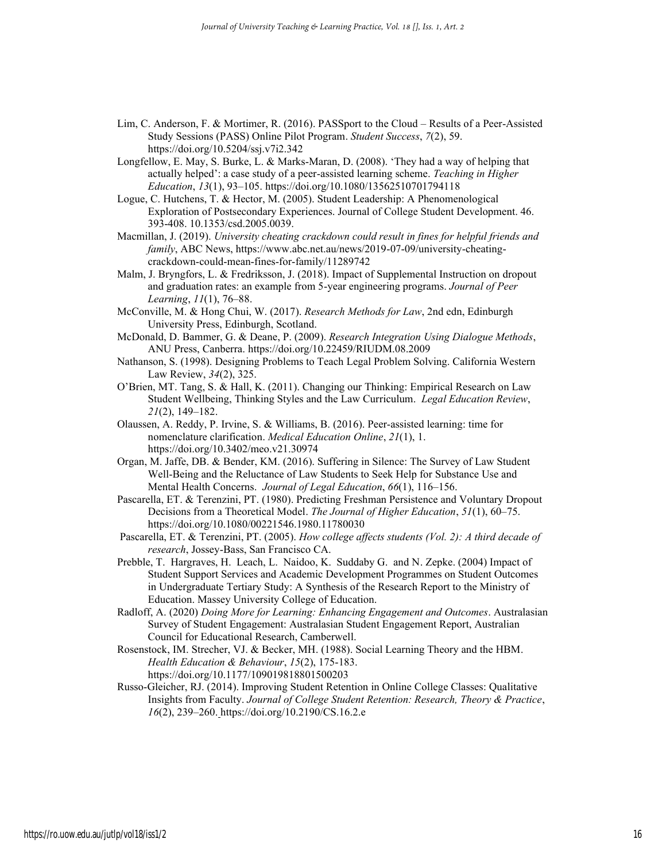- Lim, C. Anderson, F. & Mortimer, R. (2016). PASSport to the Cloud Results of a Peer-Assisted Study Sessions (PASS) Online Pilot Program. *Student Success*, *7*(2), 59. https://doi.org/10.5204/ssj.v7i2.342
- Longfellow, E. May, S. Burke, L. & Marks-Maran, D. (2008). 'They had a way of helping that actually helped': a case study of a peer-assisted learning scheme. *Teaching in Higher Education*, *13*(1), 93–105. <https://doi.org/10.1080/13562510701794118>
- Logue, C. Hutchens, T. & Hector, M. (2005). Student Leadership: A Phenomenological Exploration of Postsecondary Experiences. Journal of College Student Development. 46. 393-408. 10.1353/csd.2005.0039.

Macmillan, J. (2019). *University cheating crackdown could result in fines for helpful friends and family*, ABC News, https://www.abc.net.au/news/2019-07-09/university-cheatingcrackdown-could-mean-fines-for-family/11289742

Malm, J. Bryngfors, L. & Fredriksson, J. (2018). Impact of Supplemental Instruction on dropout and graduation rates: an example from 5-year engineering programs. *Journal of Peer Learning*, *11*(1), 76–88.

McConville, M. & Hong Chui, W. (2017). *Research Methods for Law*, 2nd edn, Edinburgh University Press, Edinburgh, Scotland.

McDonald, D. Bammer, G. & Deane, P. (2009). *Research Integration Using Dialogue Methods*, ANU Press, Canberra. <https://doi.org/10.22459/RIUDM.08.2009>

Nathanson, S. (1998). Designing Problems to Teach Legal Problem Solving. California Western Law Review, *34*(2), 325.

- O'Brien, MT. Tang, S. & Hall, K. (2011). Changing our Thinking: Empirical Research on Law Student Wellbeing, Thinking Styles and the Law Curriculum. *Legal Education Review*, *21*(2), 149–182.
- Olaussen, A. Reddy, P. Irvine, S. & Williams, B. (2016). Peer-assisted learning: time for nomenclature clarification. *Medical Education Online*, *21*(1), 1. https://doi.org/10.3402/meo.v21.30974
- Organ, M. Jaffe, DB. & Bender, KM. (2016). Suffering in Silence: The Survey of Law Student Well-Being and the Reluctance of Law Students to Seek Help for Substance Use and Mental Health Concerns. *Journal of Legal Education*, *66*(1), 116–156.
- Pascarella, ET. & Terenzini, PT. (1980). Predicting Freshman Persistence and Voluntary Dropout Decisions from a Theoretical Model. *The Journal of Higher Education*, *51*(1), 60–75. https://doi.org/10.1080/00221546.1980.11780030
- Pascarella, ET. & Terenzini, PT. (2005). *How college affects students (Vol. 2): A third decade of research*, Jossey-Bass, San Francisco CA.
- Prebble, T. Hargraves, H. Leach, L. Naidoo, K. Suddaby G. and N. Zepke. (2004) Impact of Student Support Services and Academic Development Programmes on Student Outcomes in Undergraduate Tertiary Study: A Synthesis of the Research Report to the Ministry of Education. Massey University College of Education.

Radloff, A. (2020) *Doing More for Learning: Enhancing Engagement and Outcomes*. Australasian Survey of Student Engagement: Australasian Student Engagement Report, Australian Council for Educational Research, Camberwell.

Rosenstock, IM. Strecher, VJ. & Becker, MH. (1988). Social Learning Theory and the HBM. *Health Education & Behaviour*, *15*(2), 175-183. https://doi.org/10.1177/109019818801500203

Russo-Gleicher, RJ. (2014). Improving Student Retention in Online College Classes: Qualitative Insights from Faculty. *Journal of College Student Retention: Research, Theory & Practice*, *16*(2), 239–260. <https://doi.org/10.2190/CS.16.2.e>